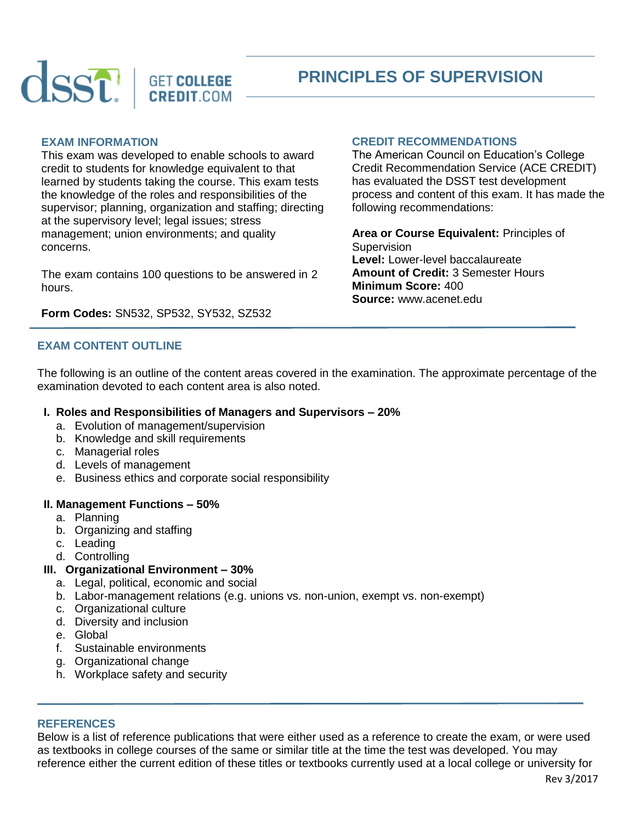

# **PRINCIPLES OF SUPERVISION**

## **EXAM INFORMATION**

This exam was developed to enable schools to award credit to students for knowledge equivalent to that learned by students taking the course. This exam tests the knowledge of the roles and responsibilities of the supervisor; planning, organization and staffing; directing at the supervisory level; legal issues; stress management; union environments; and quality concerns.

The exam contains 100 questions to be answered in 2 hours.

## **Form Codes:** SN532, SP532, SY532, SZ532

# **EXAM CONTENT OUTLINE**

The following is an outline of the content areas covered in the examination. The approximate percentage of the examination devoted to each content area is also noted.

#### **I. Roles and Responsibilities of Managers and Supervisors – 20%**

- a. Evolution of management/supervision
- b. Knowledge and skill requirements
- c. Managerial roles
- d. Levels of management
- e. Business ethics and corporate social responsibility

#### **II. Management Functions – 50%**

- a. Planning
- b. Organizing and staffing
- c. Leading
- d. Controlling

## **III. Organizational Environment – 30%**

- a. Legal, political, economic and social
- b. Labor-management relations (e.g. unions vs. non-union, exempt vs. non-exempt)
- c. Organizational culture
- d. Diversity and inclusion
- e. Global
- f. Sustainable environments
- g. Organizational change
- h. Workplace safety and security

## **REFERENCES**

Below is a list of reference publications that were either used as a reference to create the exam, or were used as textbooks in college courses of the same or similar title at the time the test was developed. You may reference either the current edition of these titles or textbooks currently used at a local college or university for

# **CREDIT RECOMMENDATIONS**

The American Council on Education's College Credit Recommendation Service (ACE CREDIT) has evaluated the DSST test development process and content of this exam. It has made the following recommendations:

**Area or Course Equivalent:** Principles of **Supervision Level:** Lower-level baccalaureate **Amount of Credit:** 3 Semester Hours **Minimum Score:** 400 **Source:** www.acenet.edu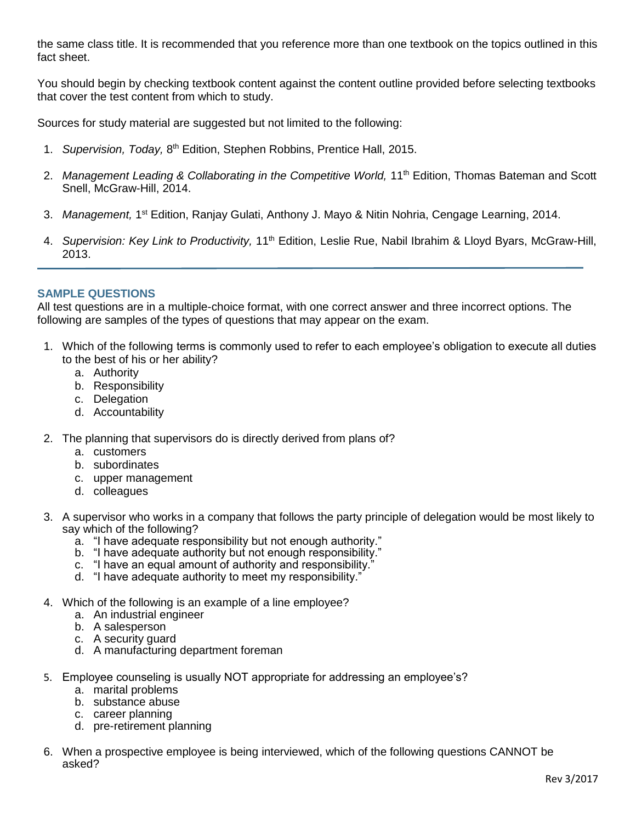the same class title. It is recommended that you reference more than one textbook on the topics outlined in this fact sheet.

You should begin by checking textbook content against the content outline provided before selecting textbooks that cover the test content from which to study.

Sources for study material are suggested but not limited to the following:

- 1. Supervision, Today, 8<sup>th</sup> Edition, Stephen Robbins, Prentice Hall, 2015.
- 2. *Management Leading & Collaborating in the Competitive World,* 11<sup>th</sup> Edition, Thomas Bateman and Scott Snell, McGraw-Hill, 2014.
- 3. Management, 1<sup>st</sup> Edition, Ranjay Gulati, Anthony J. Mayo & Nitin Nohria, Cengage Learning, 2014.
- 4. *Supervision: Key Link to Productivity*, 11<sup>th</sup> Edition, Leslie Rue, Nabil Ibrahim & Lloyd Byars, McGraw-Hill, 2013.

# **SAMPLE QUESTIONS**

All test questions are in a multiple-choice format, with one correct answer and three incorrect options. The following are samples of the types of questions that may appear on the exam.

- 1. Which of the following terms is commonly used to refer to each employee's obligation to execute all duties to the best of his or her ability?
	- a. Authority
	- b. Responsibility
	- c. Delegation
	- d. Accountability
- 2. The planning that supervisors do is directly derived from plans of?
	- a. customers
	- b. subordinates
	- c. upper management
	- d. colleagues
- 3. A supervisor who works in a company that follows the party principle of delegation would be most likely to say which of the following?
	- a. "I have adequate responsibility but not enough authority."
	- b. "I have adequate authority but not enough responsibility."
	- c. "I have an equal amount of authority and responsibility."
	- d. "I have adequate authority to meet my responsibility."
- 4. Which of the following is an example of a line employee?
	- a. An industrial engineer
	- b. A salesperson
	- c. A security guard
	- d. A manufacturing department foreman
- 5. Employee counseling is usually NOT appropriate for addressing an employee's?
	- a. marital problems
	- b. substance abuse
	- c. career planning
	- d. pre-retirement planning
- 6. When a prospective employee is being interviewed, which of the following questions CANNOT be asked?